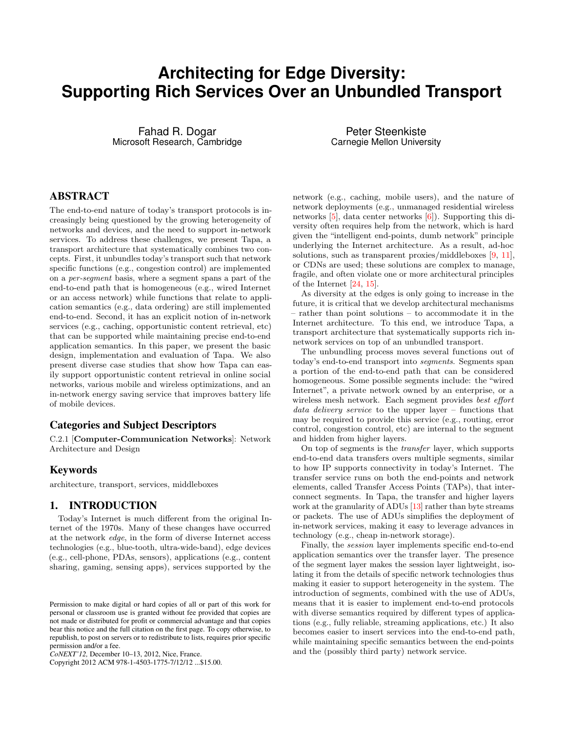# **Architecting for Edge Diversity: Supporting Rich Services Over an Unbundled Transport**

Fahad R. Dogar Microsoft Research, Cambridge

Peter Steenkiste Carnegie Mellon University

### ABSTRACT

The end-to-end nature of today's transport protocols is increasingly being questioned by the growing heterogeneity of networks and devices, and the need to support in-network services. To address these challenges, we present Tapa, a transport architecture that systematically combines two concepts. First, it unbundles today's transport such that network specific functions (e.g., congestion control) are implemented on a per-segment basis, where a segment spans a part of the end-to-end path that is homogeneous (e.g., wired Internet or an access network) while functions that relate to application semantics (e.g., data ordering) are still implemented end-to-end. Second, it has an explicit notion of in-network services (e.g., caching, opportunistic content retrieval, etc) that can be supported while maintaining precise end-to-end application semantics. In this paper, we present the basic design, implementation and evaluation of Tapa. We also present diverse case studies that show how Tapa can easily support opportunistic content retrieval in online social networks, various mobile and wireless optimizations, and an in-network energy saving service that improves battery life of mobile devices.

### Categories and Subject Descriptors

C.2.1 [Computer-Communication Networks]: Network Architecture and Design

### Keywords

architecture, transport, services, middleboxes

### 1. INTRODUCTION

Today's Internet is much different from the original Internet of the 1970s. Many of these changes have occurred at the network edge, in the form of diverse Internet access technologies (e.g., blue-tooth, ultra-wide-band), edge devices (e.g., cell-phone, PDAs, sensors), applications (e.g., content sharing, gaming, sensing apps), services supported by the

Copyright 2012 ACM 978-1-4503-1775-7/12/12 ...\$15.00.

network (e.g., caching, mobile users), and the nature of network deployments (e.g., unmanaged residential wireless networks [\[5\]](#page-11-0), data center networks [\[6\]](#page-11-1)). Supporting this diversity often requires help from the network, which is hard given the "intelligent end-points, dumb network" principle underlying the Internet architecture. As a result, ad-hoc solutions, such as transparent proxies/middleboxes [\[9,](#page-11-2) [11\]](#page-11-3), or CDNs are used; these solutions are complex to manage, fragile, and often violate one or more architectural principles of the Internet [\[24,](#page-11-4) [15\]](#page-11-5).

As diversity at the edges is only going to increase in the future, it is critical that we develop architectural mechanisms – rather than point solutions – to accommodate it in the Internet architecture. To this end, we introduce Tapa, a transport architecture that systematically supports rich innetwork services on top of an unbundled transport.

The unbundling process moves several functions out of today's end-to-end transport into segments. Segments span a portion of the end-to-end path that can be considered homogeneous. Some possible segments include: the "wired Internet", a private network owned by an enterprise, or a wireless mesh network. Each segment provides best effort data delivery service to the upper layer – functions that may be required to provide this service (e.g., routing, error control, congestion control, etc) are internal to the segment and hidden from higher layers.

On top of segments is the transfer layer, which supports end-to-end data transfers overs multiple segments, similar to how IP supports connectivity in today's Internet. The transfer service runs on both the end-points and network elements, called Transfer Access Points (TAPs), that interconnect segments. In Tapa, the transfer and higher layers work at the granularity of ADUs [\[13\]](#page-11-6) rather than byte streams or packets. The use of ADUs simplifies the deployment of in-network services, making it easy to leverage advances in technology (e.g., cheap in-network storage).

Finally, the session layer implements specific end-to-end application semantics over the transfer layer. The presence of the segment layer makes the session layer lightweight, isolating it from the details of specific network technologies thus making it easier to support heterogeneity in the system. The introduction of segments, combined with the use of ADUs, means that it is easier to implement end-to-end protocols with diverse semantics required by different types of applications (e.g., fully reliable, streaming applications, etc.) It also becomes easier to insert services into the end-to-end path, while maintaining specific semantics between the end-points and the (possibly third party) network service.

Permission to make digital or hard copies of all or part of this work for personal or classroom use is granted without fee provided that copies are not made or distributed for profit or commercial advantage and that copies bear this notice and the full citation on the first page. To copy otherwise, to republish, to post on servers or to redistribute to lists, requires prior specific permission and/or a fee.

*CoNEXT'12,* December 10–13, 2012, Nice, France.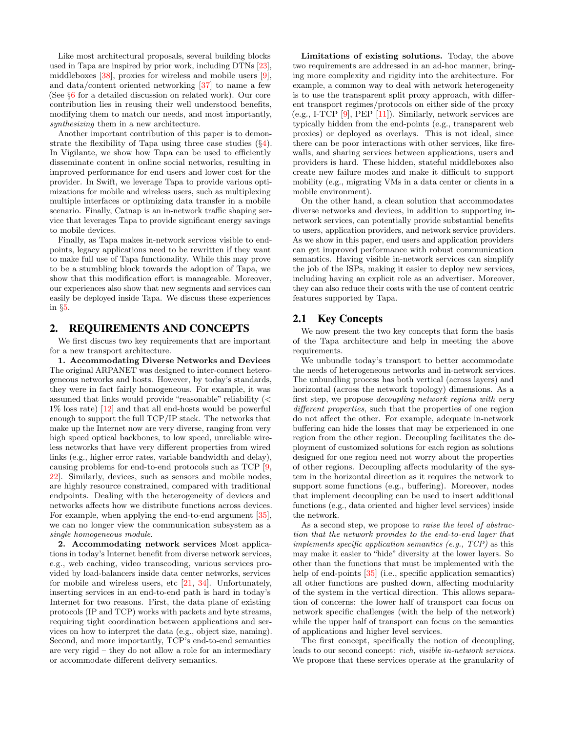Like most architectural proposals, several building blocks used in Tapa are inspired by prior work, including DTNs [\[23\]](#page-11-7), middleboxes [\[38\]](#page-11-8), proxies for wireless and mobile users [\[9\]](#page-11-2), and data/content oriented networking [\[37\]](#page-11-9) to name a few (See §[6](#page-10-0) for a detailed discussion on related work). Our core contribution lies in reusing their well understood benefits, modifying them to match our needs, and most importantly, synthesizing them in a new architecture.

Another important contribution of this paper is to demonstrate the flexibility of Tapa using three case studies  $(\S4)$  $(\S4)$ . In Vigilante, we show how Tapa can be used to efficiently disseminate content in online social networks, resulting in improved performance for end users and lower cost for the provider. In Swift, we leverage Tapa to provide various optimizations for mobile and wireless users, such as multiplexing multiple interfaces or optimizing data transfer in a mobile scenario. Finally, Catnap is an in-network traffic shaping service that leverages Tapa to provide significant energy savings to mobile devices.

Finally, as Tapa makes in-network services visible to endpoints, legacy applications need to be rewritten if they want to make full use of Tapa functionality. While this may prove to be a stumbling block towards the adoption of Tapa, we show that this modification effort is manageable. Moreover, our experiences also show that new segments and services can easily be deployed inside Tapa. We discuss these experiences in §[5.](#page-9-0)

### 2. REQUIREMENTS AND CONCEPTS

We first discuss two key requirements that are important for a new transport architecture.

1. Accommodating Diverse Networks and Devices The original ARPANET was designed to inter-connect heterogeneous networks and hosts. However, by today's standards, they were in fact fairly homogeneous. For example, it was assumed that links would provide "reasonable" reliability (< 1% loss rate) [\[12\]](#page-11-10) and that all end-hosts would be powerful enough to support the full TCP/IP stack. The networks that make up the Internet now are very diverse, ranging from very high speed optical backbones, to low speed, unreliable wireless networks that have very different properties from wired links (e.g., higher error rates, variable bandwidth and delay), causing problems for end-to-end protocols such as TCP [\[9,](#page-11-2) [22\]](#page-11-11). Similarly, devices, such as sensors and mobile nodes, are highly resource constrained, compared with traditional endpoints. Dealing with the heterogeneity of devices and networks affects how we distribute functions across devices. For example, when applying the end-to-end argument [\[35\]](#page-11-12), we can no longer view the communication subsystem as a single homogeneous module.

2. Accommodating network services Most applications in today's Internet benefit from diverse network services, e.g., web caching, video transcoding, various services provided by load-balancers inside data center networks, services for mobile and wireless users, etc [\[21,](#page-11-13) [34\]](#page-11-14). Unfortunately, inserting services in an end-to-end path is hard in today's Internet for two reasons. First, the data plane of existing protocols (IP and TCP) works with packets and byte streams, requiring tight coordination between applications and services on how to interpret the data (e.g., object size, naming). Second, and more importantly, TCP's end-to-end semantics are very rigid – they do not allow a role for an intermediary or accommodate different delivery semantics.

Limitations of existing solutions. Today, the above two requirements are addressed in an ad-hoc manner, bringing more complexity and rigidity into the architecture. For example, a common way to deal with network heterogeneity is to use the transparent split proxy approach, with different transport regimes/protocols on either side of the proxy (e.g., I-TCP  $[9]$ , PEP  $[11]$ ). Similarly, network services are typically hidden from the end-points (e.g., transparent web proxies) or deployed as overlays. This is not ideal, since there can be poor interactions with other services, like firewalls, and sharing services between applications, users and providers is hard. These hidden, stateful middleboxes also create new failure modes and make it difficult to support mobility (e.g., migrating VMs in a data center or clients in a mobile environment).

On the other hand, a clean solution that accommodates diverse networks and devices, in addition to supporting innetwork services, can potentially provide substantial benefits to users, application providers, and network service providers. As we show in this paper, end users and application providers can get improved performance with robust communication semantics. Having visible in-network services can simplify the job of the ISPs, making it easier to deploy new services, including having an explicit role as an advertiser. Moreover, they can also reduce their costs with the use of content centric features supported by Tapa.

### 2.1 Key Concepts

We now present the two key concepts that form the basis of the Tapa architecture and help in meeting the above requirements.

We unbundle today's transport to better accommodate the needs of heterogeneous networks and in-network services. The unbundling process has both vertical (across layers) and horizontal (across the network topology) dimensions. As a first step, we propose decoupling network regions with very different properties, such that the properties of one region do not affect the other. For example, adequate in-network buffering can hide the losses that may be experienced in one region from the other region. Decoupling facilitates the deployment of customized solutions for each region as solutions designed for one region need not worry about the properties of other regions. Decoupling affects modularity of the system in the horizontal direction as it requires the network to support some functions (e.g., buffering). Moreover, nodes that implement decoupling can be used to insert additional functions (e.g., data oriented and higher level services) inside the network.

As a second step, we propose to *raise the level of abstrac*tion that the network provides to the end-to-end layer that implements specific application semantics (e.g., TCP) as this may make it easier to "hide" diversity at the lower layers. So other than the functions that must be implemented with the help of end-points [\[35\]](#page-11-12) (i.e., specific application semantics) all other functions are pushed down, affecting modularity of the system in the vertical direction. This allows separation of concerns: the lower half of transport can focus on network specific challenges (with the help of the network) while the upper half of transport can focus on the semantics of applications and higher level services.

The first concept, specifically the notion of decoupling, leads to our second concept: rich, visible in-network services. We propose that these services operate at the granularity of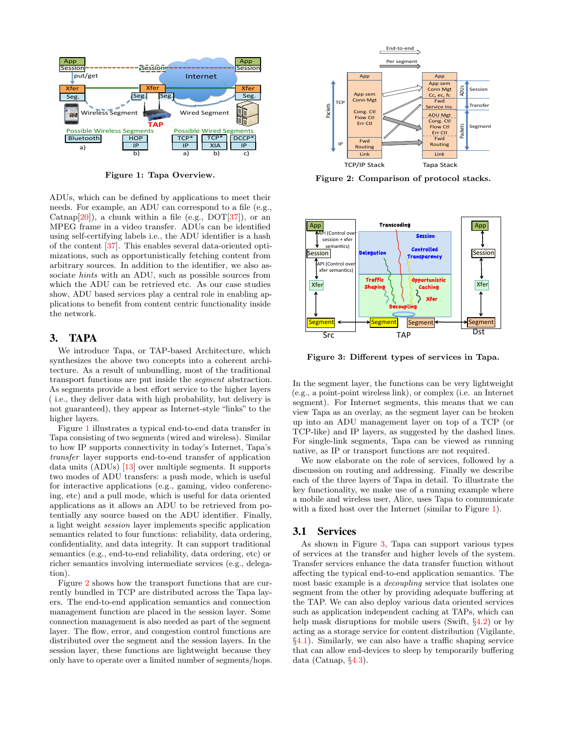

<span id="page-2-0"></span>Figure 1: Tapa Overview.

ADUs, which can be defined by applications to meet their needs. For example, an ADU can correspond to a file (e.g., Catnap<sup>[\[20\]](#page-11-15)</sup>), a chunk within a file (e.g.,  $DOT[37]$  $DOT[37]$ ), or an MPEG frame in a video transfer. ADUs can be identified using self-certifying labels i.e., the ADU identifier is a hash of the content [\[37\]](#page-11-9). This enables several data-oriented optimizations, such as opportunistically fetching content from arbitrary sources. In addition to the identifier, we also associate hints with an ADU, such as possible sources from which the ADU can be retrieved etc. As our case studies show, ADU based services play a central role in enabling applications to benefit from content centric functionality inside the network.

### 3. TAPA

We introduce Tapa, or TAP-based Architecture, which synthesizes the above two concepts into a coherent architecture. As a result of unbundling, most of the traditional transport functions are put inside the segment abstraction. As segments provide a best effort service to the higher layers ( i.e., they deliver data with high probability, but delivery is not guaranteed), they appear as Internet-style "links" to the higher layers.

Figure [1](#page-2-0) illustrates a typical end-to-end data transfer in Tapa consisting of two segments (wired and wireless). Similar to how IP supports connectivity in today's Internet, Tapa's transfer layer supports end-to-end transfer of application data units (ADUs) [\[13\]](#page-11-6) over multiple segments. It supports two modes of ADU transfers: a push mode, which is useful for interactive applications (e.g., gaming, video conferencing, etc) and a pull mode, which is useful for data oriented applications as it allows an ADU to be retrieved from potentially any source based on the ADU identifier. Finally, a light weight session layer implements specific application semantics related to four functions: reliability, data ordering, confidentiality, and data integrity. It can support traditional semantics (e.g., end-to-end reliability, data ordering, etc) or richer semantics involving intermediate services (e.g., delegation).

Figure [2](#page-2-1) shows how the transport functions that are currently bundled in TCP are distributed across the Tapa layers. The end-to-end application semantics and connection management function are placed in the session layer. Some connection management is also needed as part of the segment layer. The flow, error, and congestion control functions are distributed over the segment and the session layers. In the session layer, these functions are lightweight because they only have to operate over a limited number of segments/hops.



<span id="page-2-1"></span>Figure 2: Comparison of protocol stacks.



<span id="page-2-2"></span>Figure 3: Different types of services in Tapa.

In the segment layer, the functions can be very lightweight (e.g., a point-point wireless link), or complex (i.e. an Internet segment). For Internet segments, this means that we can view Tapa as an overlay, as the segment layer can be broken up into an ADU management layer on top of a TCP (or TCP-like) and IP layers, as suggested by the dashed lines. For single-link segments, Tapa can be viewed as running native, as IP or transport functions are not required.

We now elaborate on the role of services, followed by a discussion on routing and addressing. Finally we describe each of the three layers of Tapa in detail. To illustrate the key functionality, we make use of a running example where a mobile and wireless user, Alice, uses Tapa to communicate with a fixed host over the Internet (similar to Figure [1\)](#page-2-0).

### 3.1 Services

As shown in Figure [3,](#page-2-2) Tapa can support various types of services at the transfer and higher levels of the system. Transfer services enhance the data transfer function without affecting the typical end-to-end application semantics. The most basic example is a decoupling service that isolates one segment from the other by providing adequate buffering at the TAP. We can also deploy various data oriented services such as application independent caching at TAPs, which can help mask disruptions for mobile users (Swift,  $\S4.2$ ) or by acting as a storage service for content distribution (Vigilante, §[4.1\)](#page-7-0). Similarly, we can also have a traffic shaping service that can allow end-devices to sleep by temporarily buffering data (Catnap, §[4.3\)](#page-8-1).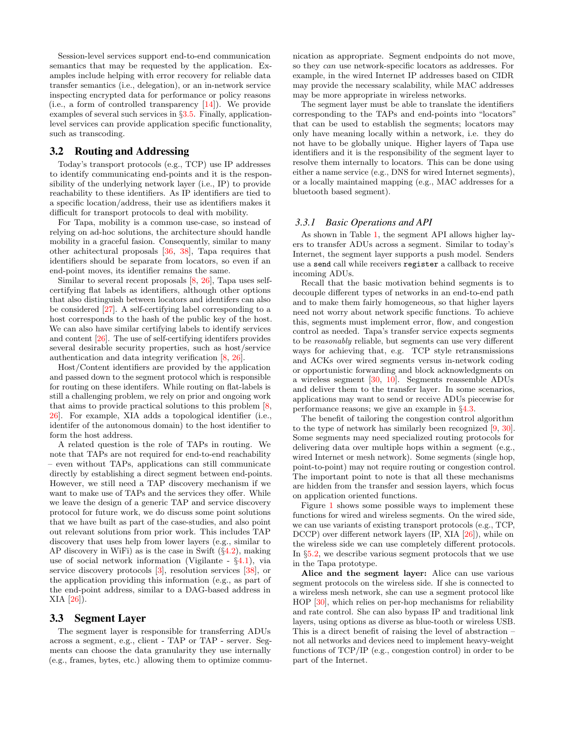Session-level services support end-to-end communication semantics that may be requested by the application. Examples include helping with error recovery for reliable data transfer semantics (i.e., delegation), or an in-network service inspecting encrypted data for performance or policy reasons (i.e., a form of controlled transparency [\[14\]](#page-11-16)). We provide examples of several such services in §[3.5.](#page-5-0) Finally, applicationlevel services can provide application specific functionality, such as transcoding.

### 3.2 Routing and Addressing

Today's transport protocols (e.g., TCP) use IP addresses to identify communicating end-points and it is the responsibility of the underlying network layer (i.e., IP) to provide reachability to these identifiers. As IP identifiers are tied to a specific location/address, their use as identifiers makes it difficult for transport protocols to deal with mobility.

For Tapa, mobility is a common use-case, so instead of relying on ad-hoc solutions, the architecture should handle mobility in a graceful fasion. Consequently, similar to many other achitectural proposals [\[36,](#page-11-17) [38\]](#page-11-8), Tapa requires that identifiers should be separate from locators, so even if an end-point moves, its identifier remains the same.

Similar to several recent proposals [\[8,](#page-11-18) [26\]](#page-11-19), Tapa uses selfcertifying flat labels as identifiers, although other options that also distinguish between locators and identifers can also be considered [\[27\]](#page-11-20). A self-certifying label corresponding to a host corresponds to the hash of the public key of the host. We can also have similar certifying labels to identify services and content [\[26\]](#page-11-19). The use of self-certifying identifers provides several desirable security properties, such as host/service authentication and data integrity verification [\[8,](#page-11-18) [26\]](#page-11-19).

Host/Content identifiers are provided by the application and passed down to the segment protocol which is responsible for routing on these identifers. While routing on flat-labels is still a challenging problem, we rely on prior and ongoing work that aims to provide practical solutions to this problem [\[8,](#page-11-18) [26\]](#page-11-19). For example, XIA adds a topological identifier (i.e., identifer of the autonomous domain) to the host identifier to form the host address.

A related question is the role of TAPs in routing. We note that TAPs are not required for end-to-end reachability – even without TAPs, applications can still communicate directly by establishing a direct segment between end-points. However, we still need a TAP discovery mechanism if we want to make use of TAPs and the services they offer. While we leave the design of a generic TAP and service discovery protocol for future work, we do discuss some point solutions that we have built as part of the case-studies, and also point out relevant solutions from prior work. This includes TAP discovery that uses help from lower layers (e.g., similar to AP discovery in WiFi) as is the case in Swift (§[4.2\)](#page-8-0), making use of social network information (Vigilante - §[4.1\)](#page-7-0), via service discovery protocols [\[3\]](#page-11-21), resolution services [\[38\]](#page-11-8), or the application providing this information (e.g., as part of the end-point address, similar to a DAG-based address in XIA [\[26\]](#page-11-19)).

#### 3.3 Segment Layer

The segment layer is responsible for transferring ADUs across a segment, e.g., client - TAP or TAP - server. Segments can choose the data granularity they use internally (e.g., frames, bytes, etc.) allowing them to optimize communication as appropriate. Segment endpoints do not move, so they can use network-specific locators as addresses. For example, in the wired Internet IP addresses based on CIDR may provide the necessary scalability, while MAC addresses may be more appropriate in wireless networks.

The segment layer must be able to translate the identifiers corresponding to the TAPs and end-points into "locators" that can be used to establish the segments; locators may only have meaning locally within a network, i.e. they do not have to be globally unique. Higher layers of Tapa use identifiers and it is the responsibility of the segment layer to resolve them internally to locators. This can be done using either a name service (e.g., DNS for wired Internet segments), or a locally maintained mapping (e.g., MAC addresses for a bluetooth based segment).

#### *3.3.1 Basic Operations and API*

As shown in Table [1,](#page-4-0) the segment API allows higher layers to transfer ADUs across a segment. Similar to today's Internet, the segment layer supports a push model. Senders use a send call while receivers register a callback to receive incoming ADUs.

Recall that the basic motivation behind segments is to decouple different types of networks in an end-to-end path and to make them fairly homogeneous, so that higher layers need not worry about network specific functions. To achieve this, segments must implement error, flow, and congestion control as needed. Tapa's transfer service expects segments to be reasonably reliable, but segments can use very different ways for achieving that, e.g. TCP style retransmissions and ACKs over wired segments versus in-network coding or opportunistic forwarding and block acknowledgments on a wireless segment [\[30,](#page-11-22) [10\]](#page-11-23). Segments reassemble ADUs and deliver them to the transfer layer. In some scenarios, applications may want to send or receive ADUs piecewise for performance reasons; we give an example in §[4.3.](#page-8-1)

The benefit of tailoring the congestion control algorithm to the type of network has similarly been recognized [\[9,](#page-11-2) [30\]](#page-11-22). Some segments may need specialized routing protocols for delivering data over multiple hops within a segment (e.g., wired Internet or mesh network). Some segments (single hop, point-to-point) may not require routing or congestion control. The important point to note is that all these mechanisms are hidden from the transfer and session layers, which focus on application oriented functions.

Figure [1](#page-2-0) shows some possible ways to implement these functions for wired and wireless segments. On the wired side, we can use variants of existing transport protocols (e.g., TCP, DCCP) over different network layers (IP, XIA [\[26\]](#page-11-19)), while on the wireless side we can use completely different protocols. In §[5.2,](#page-9-1) we describe various segment protocols that we use in the Tapa prototype.

Alice and the segment layer: Alice can use various segment protocols on the wireless side. If she is connected to a wireless mesh network, she can use a segment protocol like HOP [\[30\]](#page-11-22), which relies on per-hop mechanisms for reliability and rate control. She can also bypass IP and traditional link layers, using options as diverse as blue-tooth or wireless USB. This is a direct benefit of raising the level of abstraction – not all networks and devices need to implement heavy-weight functions of TCP/IP (e.g., congestion control) in order to be part of the Internet.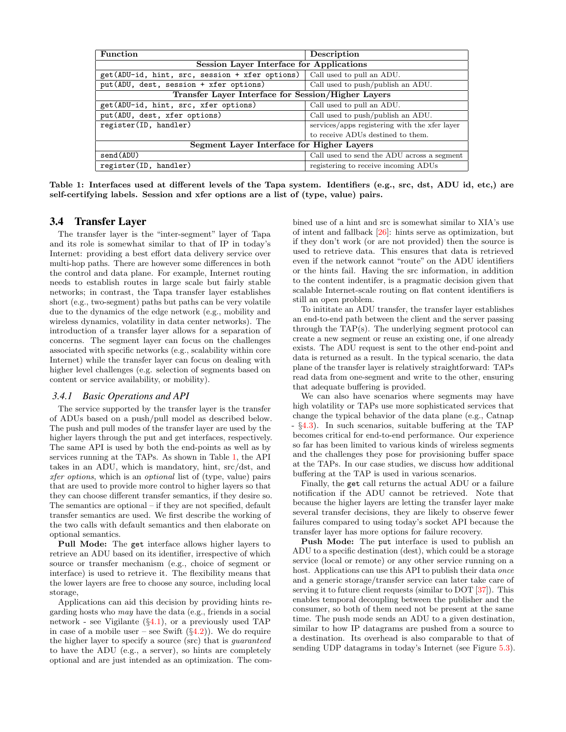| <b>Function</b>                                                    | Description                                   |  |  |  |
|--------------------------------------------------------------------|-----------------------------------------------|--|--|--|
| <b>Session Layer Interface for Applications</b>                    |                                               |  |  |  |
| get (ADU-id, hint, src, session + xfer options)                    | Call used to pull an ADU.                     |  |  |  |
| put (ADU, dest, session + xfer options)                            | Call used to push/publish an ADU.             |  |  |  |
| Transfer Layer Interface for Session/Higher Layers                 |                                               |  |  |  |
| get (ADU-id, hint, src, xfer options)                              | Call used to pull an ADU.                     |  |  |  |
| put (ADU, dest, xfer options)<br>Call used to push/publish an ADU. |                                               |  |  |  |
| register(ID, handler)                                              | services/apps registering with the xfer layer |  |  |  |
|                                                                    | to receive ADUs destined to them.             |  |  |  |
| Segment Layer Interface for Higher Layers                          |                                               |  |  |  |
| send(ADU)                                                          | Call used to send the ADU across a segment    |  |  |  |
| register(ID, handler)                                              | registering to receive incoming ADUs          |  |  |  |

<span id="page-4-0"></span>Table 1: Interfaces used at different levels of the Tapa system. Identifiers (e.g., src, dst, ADU id, etc,) are self-certifying labels. Session and xfer options are a list of (type, value) pairs.

### 3.4 Transfer Layer

The transfer layer is the "inter-segment" layer of Tapa and its role is somewhat similar to that of IP in today's Internet: providing a best effort data delivery service over multi-hop paths. There are however some differences in both the control and data plane. For example, Internet routing needs to establish routes in large scale but fairly stable networks; in contrast, the Tapa transfer layer establishes short (e.g., two-segment) paths but paths can be very volatile due to the dynamics of the edge network (e.g., mobility and wireless dynamics, volatility in data center networks). The introduction of a transfer layer allows for a separation of concerns. The segment layer can focus on the challenges associated with specific networks (e.g., scalability within core Internet) while the transfer layer can focus on dealing with higher level challenges (e.g. selection of segments based on content or service availability, or mobility).

#### *3.4.1 Basic Operations and API*

The service supported by the transfer layer is the transfer of ADUs based on a push/pull model as described below. The push and pull modes of the transfer layer are used by the higher layers through the put and get interfaces, respectively. The same API is used by both the end-points as well as by services running at the TAPs. As shown in Table [1,](#page-4-0) the API takes in an ADU, which is mandatory, hint, src/dst, and xfer options, which is an optional list of (type, value) pairs that are used to provide more control to higher layers so that they can choose different transfer semantics, if they desire so. The semantics are optional – if they are not specified, default transfer semantics are used. We first describe the working of the two calls with default semantics and then elaborate on optional semantics.

Pull Mode: The get interface allows higher layers to retrieve an ADU based on its identifier, irrespective of which source or transfer mechanism (e.g., choice of segment or interface) is used to retrieve it. The flexibility means that the lower layers are free to choose any source, including local storage,

Applications can aid this decision by providing hints regarding hosts who may have the data (e.g., friends in a social network - see Vigilante  $(\S4.1)$  $(\S4.1)$ , or a previously used TAP in case of a mobile user – see Swift  $(\S4.2)$  $(\S4.2)$ ). We do require the higher layer to specify a source (src) that is guaranteed to have the ADU (e.g., a server), so hints are completely optional and are just intended as an optimization. The combined use of a hint and src is somewhat similar to XIA's use of intent and fallback [\[26\]](#page-11-19): hints serve as optimization, but if they don't work (or are not provided) then the source is used to retrieve data. This ensures that data is retrieved even if the network cannot "route" on the ADU identifiers or the hints fail. Having the src information, in addition to the content indentifer, is a pragmatic decision given that scalable Internet-scale routing on flat content identifiers is still an open problem.

To inititate an ADU transfer, the transfer layer establishes an end-to-end path between the client and the server passing through the TAP(s). The underlying segment protocol can create a new segment or reuse an existing one, if one already exists. The ADU request is sent to the other end-point and data is returned as a result. In the typical scenario, the data plane of the transfer layer is relatively straightforward: TAPs read data from one-segment and write to the other, ensuring that adequate buffering is provided.

We can also have scenarios where segments may have high volatility or TAPs use more sophisticated services that change the typical behavior of the data plane (e.g., Catnap - §[4.3\)](#page-8-1). In such scenarios, suitable buffering at the TAP becomes critical for end-to-end performance. Our experience so far has been limited to various kinds of wireless segments and the challenges they pose for provisioning buffer space at the TAPs. In our case studies, we discuss how additional buffering at the TAP is used in various scenarios.

Finally, the get call returns the actual ADU or a failure notification if the ADU cannot be retrieved. Note that because the higher layers are letting the transfer layer make several transfer decisions, they are likely to observe fewer failures compared to using today's socket API because the transfer layer has more options for failure recovery.

Push Mode: The put interface is used to publish an ADU to a specific destination (dest), which could be a storage service (local or remote) or any other service running on a host. Applications can use this API to publish their data once and a generic storage/transfer service can later take care of serving it to future client requests (similar to DOT [\[37\]](#page-11-9)). This enables temporal decoupling between the publisher and the consumer, so both of them need not be present at the same time. The push mode sends an ADU to a given destination, similar to how IP datagrams are pushed from a source to a destination. Its overhead is also comparable to that of sending UDP datagrams in today's Internet (see Figure [5.3\)](#page-10-1).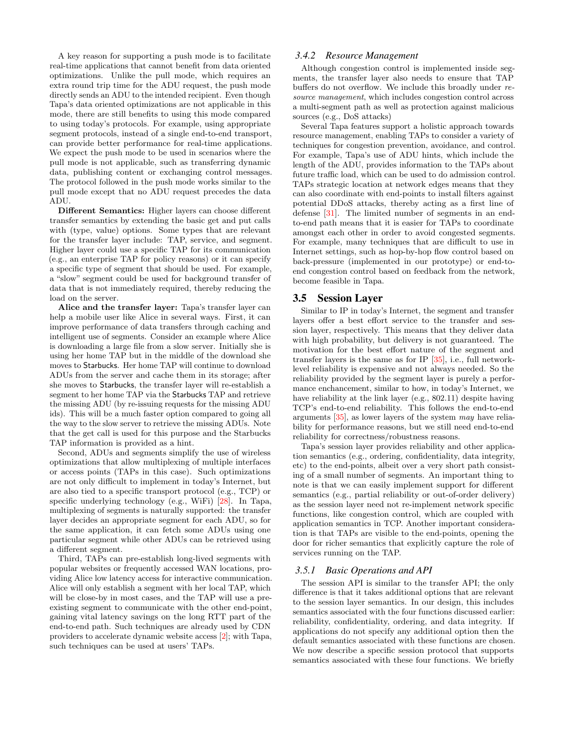A key reason for supporting a push mode is to facilitate real-time applications that cannot benefit from data oriented optimizations. Unlike the pull mode, which requires an extra round trip time for the ADU request, the push mode directly sends an ADU to the intended recipient. Even though Tapa's data oriented optimizations are not applicable in this mode, there are still benefits to using this mode compared to using today's protocols. For example, using appropriate segment protocols, instead of a single end-to-end transport, can provide better performance for real-time applications. We expect the push mode to be used in scenarios where the pull mode is not applicable, such as transferring dynamic data, publishing content or exchanging control messages. The protocol followed in the push mode works similar to the pull mode except that no ADU request precedes the data ADU.

Different Semantics: Higher layers can choose different transfer semantics by extending the basic get and put calls with (type, value) options. Some types that are relevant for the transfer layer include: TAP, service, and segment. Higher layer could use a specific TAP for its communication (e.g., an enterprise TAP for policy reasons) or it can specify a specific type of segment that should be used. For example, a "slow" segment could be used for background transfer of data that is not immediately required, thereby reducing the load on the server.

Alice and the transfer layer: Tapa's transfer layer can help a mobile user like Alice in several ways. First, it can improve performance of data transfers through caching and intelligent use of segments. Consider an example where Alice is downloading a large file from a slow server. Initially she is using her home TAP but in the middle of the download she moves to Starbucks. Her home TAP will continue to download ADUs from the server and cache them in its storage; after she moves to Starbucks, the transfer layer will re-establish a segment to her home TAP via the Starbucks TAP and retrieve the missing ADU (by re-issuing requests for the missing ADU ids). This will be a much faster option compared to going all the way to the slow server to retrieve the missing ADUs. Note that the get call is used for this purpose and the Starbucks TAP information is provided as a hint.

Second, ADUs and segments simplify the use of wireless optimizations that allow multiplexing of multiple interfaces or access points (TAPs in this case). Such optimizations are not only difficult to implement in today's Internet, but are also tied to a specific transport protocol (e.g., TCP) or specific underlying technology (e.g., WiFi) [\[28\]](#page-11-24). In Tapa, multiplexing of segments is naturally supported: the transfer layer decides an appropriate segment for each ADU, so for the same application, it can fetch some ADUs using one particular segment while other ADUs can be retrieved using a different segment.

Third, TAPs can pre-establish long-lived segments with popular websites or frequently accessed WAN locations, providing Alice low latency access for interactive communication. Alice will only establish a segment with her local TAP, which will be close-by in most cases, and the TAP will use a preexisting segment to communicate with the other end-point, gaining vital latency savings on the long RTT part of the end-to-end path. Such techniques are already used by CDN providers to accelerate dynamic website access [\[2\]](#page-11-25); with Tapa, such techniques can be used at users' TAPs.

#### *3.4.2 Resource Management*

Although congestion control is implemented inside segments, the transfer layer also needs to ensure that TAP buffers do not overflow. We include this broadly under resource management, which includes congestion control across a multi-segment path as well as protection against malicious sources (e.g., DoS attacks)

Several Tapa features support a holistic approach towards resource management, enabling TAPs to consider a variety of techniques for congestion prevention, avoidance, and control. For example, Tapa's use of ADU hints, which include the length of the ADU, provides information to the TAPs about future traffic load, which can be used to do admission control. TAPs strategic location at network edges means that they can also coordinate with end-points to install filters against potential DDoS attacks, thereby acting as a first line of defense [\[31\]](#page-11-26). The limited number of segments in an endto-end path means that it is easier for TAPs to coordinate amongst each other in order to avoid congested segments. For example, many techniques that are difficult to use in Internet settings, such as hop-by-hop flow control based on back-pressure (implemented in our prototype) or end-toend congestion control based on feedback from the network, become feasible in Tapa.

### <span id="page-5-0"></span>3.5 Session Layer

Similar to IP in today's Internet, the segment and transfer layers offer a best effort service to the transfer and session layer, respectively. This means that they deliver data with high probability, but delivery is not guaranteed. The motivation for the best effort nature of the segment and transfer layers is the same as for IP [\[35\]](#page-11-12), i.e., full networklevel reliability is expensive and not always needed. So the reliability provided by the segment layer is purely a performance enchancement, similar to how, in today's Internet, we have reliability at the link layer (e.g., 802.11) despite having TCP's end-to-end reliability. This follows the end-to-end arguments [\[35\]](#page-11-12), as lower layers of the system may have reliability for performance reasons, but we still need end-to-end reliability for correctness/robustness reasons.

Tapa's session layer provides reliability and other application semantics (e.g., ordering, confidentiality, data integrity, etc) to the end-points, albeit over a very short path consisting of a small number of segments. An important thing to note is that we can easily implement support for different semantics (e.g., partial reliability or out-of-order delivery) as the session layer need not re-implement network specific functions, like congestion control, which are coupled with application semantics in TCP. Another important consideration is that TAPs are visible to the end-points, opening the door for richer semantics that explicitly capture the role of services running on the TAP.

#### *3.5.1 Basic Operations and API*

The session API is similar to the transfer API; the only difference is that it takes additional options that are relevant to the session layer semantics. In our design, this includes semantics associated with the four functions discussed earlier: reliability, confidentiality, ordering, and data integrity. If applications do not specify any additional option then the default semantics associated with these functions are chosen. We now describe a specific session protocol that supports semantics associated with these four functions. We briefly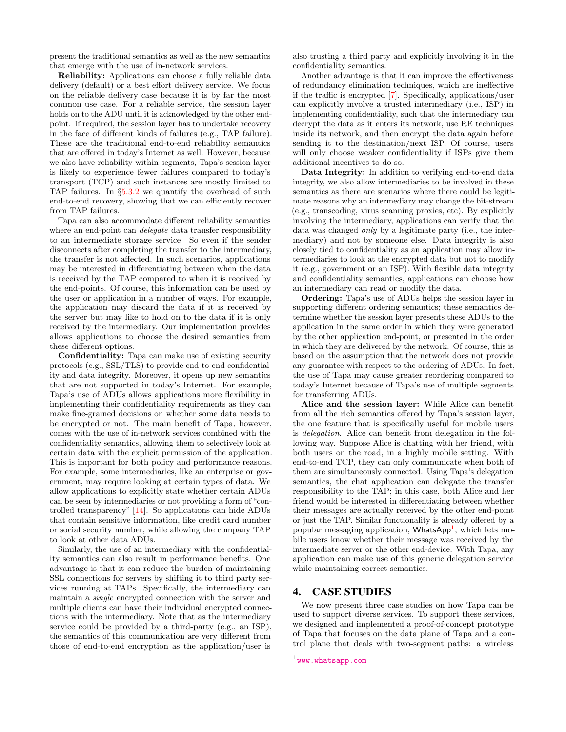present the traditional semantics as well as the new semantics that emerge with the use of in-network services.

Reliability: Applications can choose a fully reliable data delivery (default) or a best effort delivery service. We focus on the reliable delivery case because it is by far the most common use case. For a reliable service, the session layer holds on to the ADU until it is acknowledged by the other endpoint. If required, the session layer has to undertake recovery in the face of different kinds of failures (e.g., TAP failure). These are the traditional end-to-end reliability semantics that are offered in today's Internet as well. However, because we also have reliability within segments, Tapa's session layer is likely to experience fewer failures compared to today's transport (TCP) and such instances are mostly limited to TAP failures. In §[5.3.2](#page-10-2) we quantify the overhead of such end-to-end recovery, showing that we can efficiently recover from TAP failures.

Tapa can also accommodate different reliability semantics where an end-point can *delegate* data transfer responsibility to an intermediate storage service. So even if the sender disconnects after completing the transfer to the intermediary, the transfer is not affected. In such scenarios, applications may be interested in differentiating between when the data is received by the TAP compared to when it is received by the end-points. Of course, this information can be used by the user or application in a number of ways. For example, the application may discard the data if it is received by the server but may like to hold on to the data if it is only received by the intermediary. Our implementation provides allows applications to choose the desired semantics from these different options.

Confidentiality: Tapa can make use of existing security protocols (e.g., SSL/TLS) to provide end-to-end confidentiality and data integrity. Moreover, it opens up new semantics that are not supported in today's Internet. For example, Tapa's use of ADUs allows applications more flexibility in implementing their confidentiality requirements as they can make fine-grained decisions on whether some data needs to be encrypted or not. The main benefit of Tapa, however, comes with the use of in-network services combined with the confidentiality semantics, allowing them to selectively look at certain data with the explicit permission of the application. This is important for both policy and performance reasons. For example, some intermediaries, like an enterprise or government, may require looking at certain types of data. We allow applications to explicitly state whether certain ADUs can be seen by intermediaries or not providing a form of "controlled transparency" [\[14\]](#page-11-16). So applications can hide ADUs that contain sensitive information, like credit card number or social security number, while allowing the company TAP to look at other data ADUs.

Similarly, the use of an intermediary with the confidentiality semantics can also result in performance benefits. One advantage is that it can reduce the burden of maintaining SSL connections for servers by shifting it to third party services running at TAPs. Specifically, the intermediary can maintain a single encrypted connection with the server and multiple clients can have their individual encrypted connections with the intermediary. Note that as the intermediary service could be provided by a third-party (e.g., an ISP), the semantics of this communication are very different from those of end-to-end encryption as the application/user is

also trusting a third party and explicitly involving it in the confidentiality semantics.

Another advantage is that it can improve the effectiveness of redundancy elimination techniques, which are ineffective if the traffic is encrypted [\[7\]](#page-11-27). Specifically, applications/user can explicitly involve a trusted intermediary (i.e., ISP) in implementing confidentiality, such that the intermediary can decrypt the data as it enters its network, use RE techniques inside its network, and then encrypt the data again before sending it to the destination/next ISP. Of course, users will only choose weaker confidentiality if ISPs give them additional incentives to do so.

Data Integrity: In addition to verifying end-to-end data integrity, we also allow intermediaries to be involved in these semantics as there are scenarios where there could be legitimate reasons why an intermediary may change the bit-stream (e.g., transcoding, virus scanning proxies, etc). By explicitly involving the intermediary, applications can verify that the data was changed only by a legitimate party (i.e., the intermediary) and not by someone else. Data integrity is also closely tied to confidentiality as an application may allow intermediaries to look at the encrypted data but not to modify it (e.g., government or an ISP). With flexible data integrity and confidentiality semantics, applications can choose how an intermediary can read or modify the data.

Ordering: Tapa's use of ADUs helps the session layer in supporting different ordering semantics; these semantics determine whether the session layer presents these ADUs to the application in the same order in which they were generated by the other application end-point, or presented in the order in which they are delivered by the network. Of course, this is based on the assumption that the network does not provide any guarantee with respect to the ordering of ADUs. In fact, the use of Tapa may cause greater reordering compared to today's Internet because of Tapa's use of multiple segments for transferring ADUs.

Alice and the session layer: While Alice can benefit from all the rich semantics offered by Tapa's session layer, the one feature that is specifically useful for mobile users is delegation. Alice can benefit from delegation in the following way. Suppose Alice is chatting with her friend, with both users on the road, in a highly mobile setting. With end-to-end TCP, they can only communicate when both of them are simultaneously connected. Using Tapa's delegation semantics, the chat application can delegate the transfer responsibility to the TAP; in this case, both Alice and her friend would be interested in differentiating between whether their messages are actually received by the other end-point or just the TAP. Similar functionality is already offered by a popular messaging application, WhatsApp<sup>[1](#page-6-1)</sup>, which lets mobile users know whether their message was received by the intermediate server or the other end-device. With Tapa, any application can make use of this generic delegation service while maintaining correct semantics.

### <span id="page-6-0"></span>4. CASE STUDIES

We now present three case studies on how Tapa can be used to support diverse services. To support these services, we designed and implemented a proof-of-concept prototype of Tapa that focuses on the data plane of Tapa and a control plane that deals with two-segment paths: a wireless

<span id="page-6-1"></span> $^{\rm 1}$ <www.whatsapp.com>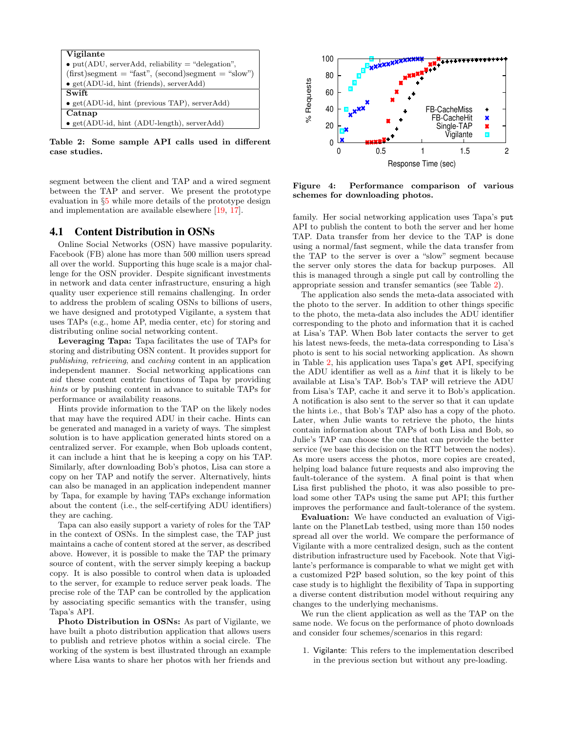| Vigilante                                                 |  |  |
|-----------------------------------------------------------|--|--|
| $\bullet$ put(ADU, serverAdd, reliability = "delegation", |  |  |
| $(first) segment = "fast", (second) segment = "slow")$    |  |  |
| $\bullet$ get(ADU-id, hint (friends), serverAdd)          |  |  |
| Swift                                                     |  |  |
| $\bullet$ get(ADU-id, hint (previous TAP), serverAdd)     |  |  |
| Catnap                                                    |  |  |
| $\bullet$ get(ADU-id, hint (ADU-length), serverAdd)       |  |  |

<span id="page-7-1"></span>Table 2: Some sample API calls used in different case studies.

segment between the client and TAP and a wired segment between the TAP and server. We present the prototype evaluation in §[5](#page-9-0) while more details of the prototype design and implementation are available elsewhere [\[19,](#page-11-28) [17\]](#page-11-29).

### <span id="page-7-0"></span>4.1 Content Distribution in OSNs

Online Social Networks (OSN) have massive popularity. Facebook (FB) alone has more than 500 million users spread all over the world. Supporting this huge scale is a major challenge for the OSN provider. Despite significant investments in network and data center infrastructure, ensuring a high quality user experience still remains challenging. In order to address the problem of scaling OSNs to billions of users, we have designed and prototyped Vigilante, a system that uses TAPs (e.g., home AP, media center, etc) for storing and distributing online social networking content.

Leveraging Tapa: Tapa facilitates the use of TAPs for storing and distributing OSN content. It provides support for publishing, retrieving, and caching content in an application independent manner. Social networking applications can aid these content centric functions of Tapa by providing hints or by pushing content in advance to suitable TAPs for performance or availability reasons.

Hints provide information to the TAP on the likely nodes that may have the required ADU in their cache. Hints can be generated and managed in a variety of ways. The simplest solution is to have application generated hints stored on a centralized server. For example, when Bob uploads content, it can include a hint that he is keeping a copy on his TAP. Similarly, after downloading Bob's photos, Lisa can store a copy on her TAP and notify the server. Alternatively, hints can also be managed in an application independent manner by Tapa, for example by having TAPs exchange information about the content (i.e., the self-certifying ADU identifiers) they are caching.

Tapa can also easily support a variety of roles for the TAP in the context of OSNs. In the simplest case, the TAP just maintains a cache of content stored at the server, as described above. However, it is possible to make the TAP the primary source of content, with the server simply keeping a backup copy. It is also possible to control when data is uploaded to the server, for example to reduce server peak loads. The precise role of the TAP can be controlled by the application by associating specific semantics with the transfer, using Tapa's API.

Photo Distribution in OSNs: As part of Vigilante, we have built a photo distribution application that allows users to publish and retrieve photos within a social circle. The working of the system is best illustrated through an example where Lisa wants to share her photos with her friends and



<span id="page-7-2"></span>Figure 4: Performance comparison of various schemes for downloading photos.

family. Her social networking application uses Tapa's put API to publish the content to both the server and her home TAP. Data transfer from her device to the TAP is done using a normal/fast segment, while the data transfer from the TAP to the server is over a "slow" segment because the server only stores the data for backup purposes. All this is managed through a single put call by controlling the appropriate session and transfer semantics (see Table [2\)](#page-7-1).

The application also sends the meta-data associated with the photo to the server. In addition to other things specific to the photo, the meta-data also includes the ADU identifier corresponding to the photo and information that it is cached at Lisa's TAP. When Bob later contacts the server to get his latest news-feeds, the meta-data corresponding to Lisa's photo is sent to his social networking application. As shown in Table [2,](#page-7-1) his application uses Tapa's get API, specifying the ADU identifier as well as a hint that it is likely to be available at Lisa's TAP. Bob's TAP will retrieve the ADU from Lisa's TAP, cache it and serve it to Bob's application. A notification is also sent to the server so that it can update the hints i.e., that Bob's TAP also has a copy of the photo. Later, when Julie wants to retrieve the photo, the hints contain information about TAPs of both Lisa and Bob, so Julie's TAP can choose the one that can provide the better service (we base this decision on the RTT between the nodes). As more users access the photos, more copies are created, helping load balance future requests and also improving the fault-tolerance of the system. A final point is that when Lisa first published the photo, it was also possible to preload some other TAPs using the same put API; this further improves the performance and fault-tolerance of the system.

Evaluation: We have conducted an evaluation of Vigilante on the PlanetLab testbed, using more than 150 nodes spread all over the world. We compare the performance of Vigilante with a more centralized design, such as the content distribution infrastructure used by Facebook. Note that Vigilante's performance is comparable to what we might get with a customized P2P based solution, so the key point of this case study is to highlight the flexibility of Tapa in supporting a diverse content distribution model without requiring any changes to the underlying mechanisms.

We run the client application as well as the TAP on the same node. We focus on the performance of photo downloads and consider four schemes/scenarios in this regard:

1. Vigilante: This refers to the implementation described in the previous section but without any pre-loading.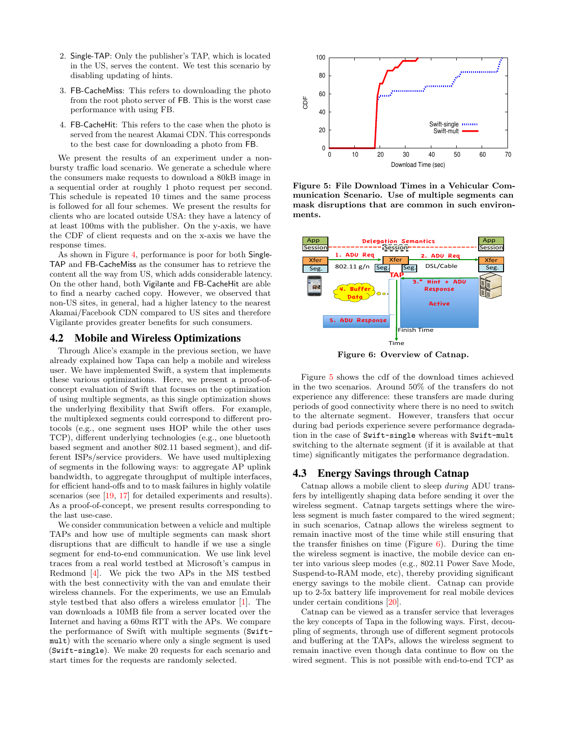- 2. Single-TAP: Only the publisher's TAP, which is located in the US, serves the content. We test this scenario by disabling updating of hints.
- 3. FB-CacheMiss: This refers to downloading the photo from the root photo server of FB. This is the worst case performance with using FB.
- 4. FB-CacheHit: This refers to the case when the photo is served from the nearest Akamai CDN. This corresponds to the best case for downloading a photo from FB.

We present the results of an experiment under a nonbursty traffic load scenario. We generate a schedule where the consumers make requests to download a 80kB image in a sequential order at roughly 1 photo request per second. This schedule is repeated 10 times and the same process is followed for all four schemes. We present the results for clients who are located outside USA: they have a latency of at least 100ms with the publisher. On the y-axis, we have the CDF of client requests and on the x-axis we have the response times.

As shown in Figure [4,](#page-7-2) performance is poor for both Single-TAP and FB-CacheMiss as the consumer has to retrieve the content all the way from US, which adds considerable latency. On the other hand, both Vigilante and FB-CacheHit are able to find a nearby cached copy. However, we observed that non-US sites, in general, had a higher latency to the nearest Akamai/Facebook CDN compared to US sites and therefore Vigilante provides greater benefits for such consumers.

#### <span id="page-8-0"></span>4.2 Mobile and Wireless Optimizations

Through Alice's example in the previous section, we have already explained how Tapa can help a mobile and wireless user. We have implemented Swift, a system that implements these various optimizations. Here, we present a proof-ofconcept evaluation of Swift that focuses on the optimization of using multiple segments, as this single optimization shows the underlying flexibility that Swift offers. For example, the multiplexed segments could correspond to different protocols (e.g., one segment uses HOP while the other uses TCP), different underlying technologies (e.g., one bluetooth based segment and another 802.11 based segment), and different ISPs/service providers. We have used multiplexing of segments in the following ways: to aggregate AP uplink bandwidth, to aggregate throughput of multiple interfaces, for efficient hand-offs and to to mask failures in highly volatile scenarios (see [\[19,](#page-11-28) [17\]](#page-11-29) for detailed experiments and results). As a proof-of-concept, we present results corresponding to the last use-case.

We consider communication between a vehicle and multiple TAPs and how use of multiple segments can mask short disruptions that are difficult to handle if we use a single segment for end-to-end communication. We use link level traces from a real world testbed at Microsoft's campus in Redmond [\[4\]](#page-11-30). We pick the two APs in the MS testbed with the best connectivity with the van and emulate their wireless channels. For the experiments, we use an Emulab style testbed that also offers a wireless emulator [\[1\]](#page-11-31). The van downloads a 10MB file from a server located over the Internet and having a 60ms RTT with the APs. We compare the performance of Swift with multiple segments (Swiftmult) with the scenario where only a single segment is used (Swift-single). We make 20 requests for each scenario and start times for the requests are randomly selected.



<span id="page-8-2"></span>Figure 5: File Download Times in a Vehicular Communication Scenario. Use of multiple segments can mask disruptions that are common in such environments.



Figure 6: Overview of Catnap.

<span id="page-8-3"></span>Figure [5](#page-8-2) shows the cdf of the download times achieved in the two scenarios. Around 50% of the transfers do not experience any difference: these transfers are made during periods of good connectivity where there is no need to switch to the alternate segment. However, transfers that occur during bad periods experience severe performance degradation in the case of Swift-single whereas with Swift-mult switching to the alternate segment (if it is available at that time) significantly mitigates the performance degradation.

#### <span id="page-8-1"></span>4.3 Energy Savings through Catnap

Catnap allows a mobile client to sleep during ADU transfers by intelligently shaping data before sending it over the wireless segment. Catnap targets settings where the wireless segment is much faster compared to the wired segment; in such scenarios, Catnap allows the wireless segment to remain inactive most of the time while still ensuring that the transfer finishes on time (Figure  $6$ ). During the time the wireless segment is inactive, the mobile device can enter into various sleep modes (e.g., 802.11 Power Save Mode, Suspend-to-RAM mode, etc), thereby providing significant energy savings to the mobile client. Catnap can provide up to 2-5x battery life improvement for real mobile devices under certain conditions [\[20\]](#page-11-15).

Catnap can be viewed as a transfer service that leverages the key concepts of Tapa in the following ways. First, decoupling of segments, through use of different segment protocols and buffering at the TAPs, allows the wireless segment to remain inactive even though data continue to flow on the wired segment. This is not possible with end-to-end TCP as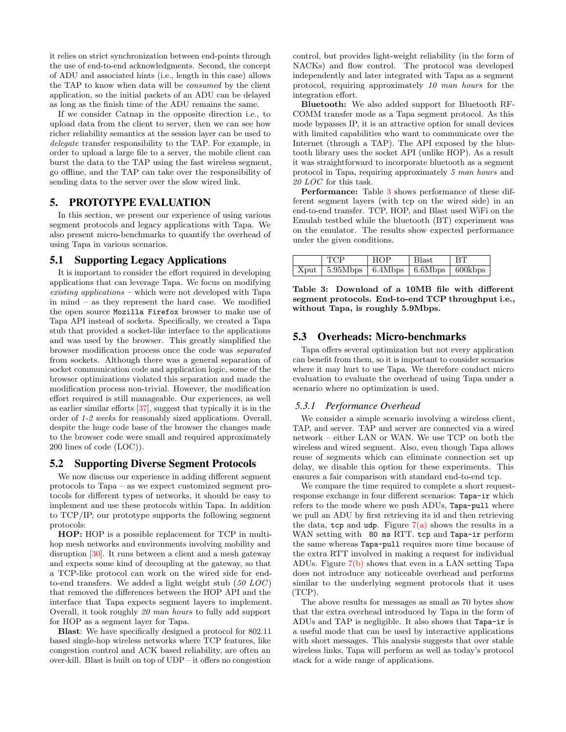it relies on strict synchronization between end-points through the use of end-to-end acknowledgments. Second, the concept of ADU and associated hints (i.e., length in this case) allows the TAP to know when data will be consumed by the client application, so the initial packets of an ADU can be delayed as long as the finish time of the ADU remains the same.

If we consider Catnap in the opposite direction i.e., to upload data from the client to server, then we can see how richer reliability semantics at the session layer can be used to delegate transfer responsibility to the TAP. For example, in order to upload a large file to a server, the mobile client can burst the data to the TAP using the fast wireless segment, go offline, and the TAP can take over the responsibility of sending data to the server over the slow wired link.

### <span id="page-9-0"></span>5. PROTOTYPE EVALUATION

In this section, we present our experience of using various segment protocols and legacy applications with Tapa. We also present micro-benchmarks to quantify the overhead of using Tapa in various scenarios.

### 5.1 Supporting Legacy Applications

It is important to consider the effort required in developing applications that can leverage Tapa. We focus on modifying existing applications – which were not developed with Tapa in mind – as they represent the hard case. We modified the open source Mozilla Firefox browser to make use of Tapa API instead of sockets. Specifically, we created a Tapa stub that provided a socket-like interface to the applications and was used by the browser. This greatly simplified the browser modification process once the code was separated from sockets. Although there was a general separation of socket communication code and application logic, some of the browser optimizations violated this separation and made the modification process non-trivial. However, the modification effort required is still manageable. Our experiences, as well as earlier similar efforts [\[37\]](#page-11-9), suggest that typically it is in the order of 1-2 weeks for reasonably sized applications. Overall, despite the huge code base of the browser the changes made to the browser code were small and required approximately 200 lines of code (LOC)).

### <span id="page-9-1"></span>5.2 Supporting Diverse Segment Protocols

We now discuss our experience in adding different segment protocols to Tapa – as we expect customized segment protocols for different types of networks, it should be easy to implement and use these protocols within Tapa. In addition to TCP/IP, our prototype supports the following segment protocols:

HOP: HOP is a possible replacement for TCP in multihop mesh networks and environments involving mobility and disruption [\[30\]](#page-11-22). It runs between a client and a mesh gateway and expects some kind of decoupling at the gateway, so that a TCP-like protocol can work on the wired side for endto-end transfers. We added a light weight stub  $(50$  LOC) that removed the differences between the HOP API and the interface that Tapa expects segment layers to implement. Overall, it took roughly 20 man hours to fully add support for HOP as a segment layer for Tapa.

Blast: We have specifically designed a protocol for 802.11 based single-hop wireless networks where TCP features, like congestion control and ACK based reliability, are often an over-kill. Blast is built on top of UDP – it offers no congestion

control, but provides light-weight reliability (in the form of NACKs) and flow control. The protocol was developed independently and later integrated with Tapa as a segment protocol, requiring approximately 10 man hours for the integration effort.

Bluetooth: We also added support for Bluetooth RF-COMM transfer mode as a Tapa segment protocol. As this mode bypasses IP, it is an attractive option for small devices with limited capabilities who want to communicate over the Internet (through a TAP). The API exposed by the bluetooth library uses the socket API (unlike HOP). As a result it was straightforward to incorporate bluetooth as a segment protocol in Tapa, requiring approximately 5 man hours and 20 LOC for this task.

Performance: Table [3](#page-9-2) shows performance of these different segment layers (with tcp on the wired side) in an end-to-end transfer. TCP, HOP, and Blast used WiFi on the Emulab testbed while the bluetooth (BT) experiment was on the emulator. The results show expected performance under the given conditions.

| <b>TCP</b>                                             | HOP | Blast | <b>BT</b> |
|--------------------------------------------------------|-----|-------|-----------|
| $\text{Xput}$   5.95Mbps   6.4Mbps   6.6Mbps   600kbps |     |       |           |

<span id="page-9-2"></span>Table 3: Download of a 10MB file with different segment protocols. End-to-end TCP throughput i.e., without Tapa, is roughly 5.9Mbps.

### 5.3 Overheads: Micro-benchmarks

Tapa offers several optimization but not every application can benefit from them, so it is important to consider scenarios where it may hurt to use Tapa. We therefore conduct micro evaluation to evaluate the overhead of using Tapa under a scenario where no optimization is used.

#### *5.3.1 Performance Overhead*

We consider a simple scenario involving a wireless client, TAP, and server. TAP and server are connected via a wired network – either LAN or WAN. We use TCP on both the wireless and wired segment. Also, even though Tapa allows reuse of segments which can eliminate connection set up delay, we disable this option for these experiments. This ensures a fair comparison with standard end-to-end tcp.

We compare the time required to complete a short requestresponse exchange in four different scenarios: Tapa-ir which refers to the mode where we push ADUs, Tapa-pull where we pull an ADU by first retrieving its id and then retrieving the data,  $\text{top}$  and  $\text{udp}$ . Figure  $7(a)$  shows the results in a WAN setting with 80 ms RTT. tcp and Tapa-ir perform the same whereas Tapa-pull requires more time because of the extra RTT involved in making a request for individual ADUs. Figure [7\(b\)](#page-10-1) shows that even in a LAN setting Tapa does not introduce any noticeable overhead and performs similar to the underlying segment protocols that it uses (TCP).

The above results for messages as small as 70 bytes show that the extra overhead introduced by Tapa in the form of ADUs and TAP is negligible. It also shows that Tapa-ir is a useful mode that can be used by interactive applications with short messages. This analysis suggests that over stable wireless links, Tapa will perform as well as today's protocol stack for a wide range of applications.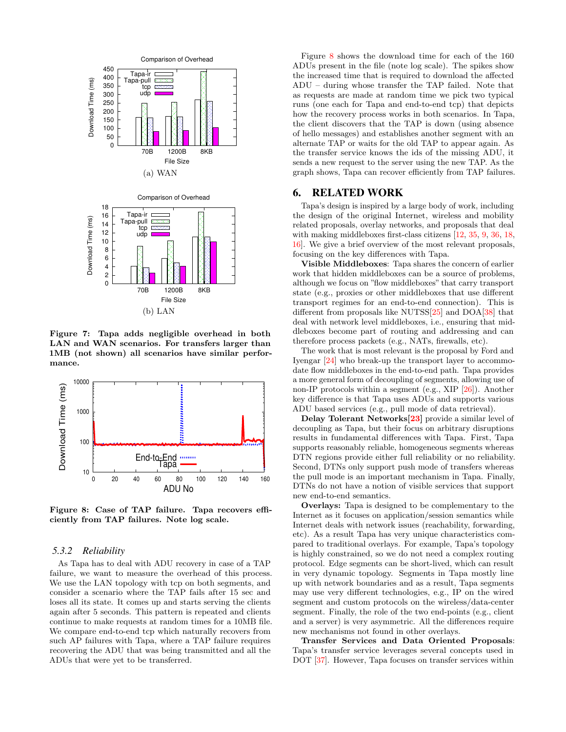<span id="page-10-3"></span>

<span id="page-10-1"></span>Figure 7: Tapa adds negligible overhead in both LAN and WAN scenarios. For transfers larger than 1MB (not shown) all scenarios have similar performance.



<span id="page-10-4"></span>Figure 8: Case of TAP failure. Tapa recovers efficiently from TAP failures. Note log scale.

### <span id="page-10-2"></span>*5.3.2 Reliability*

As Tapa has to deal with ADU recovery in case of a TAP failure, we want to measure the overhead of this process. We use the LAN topology with tcp on both segments, and consider a scenario where the TAP fails after 15 sec and loses all its state. It comes up and starts serving the clients again after 5 seconds. This pattern is repeated and clients continue to make requests at random times for a 10MB file. We compare end-to-end tcp which naturally recovers from such AP failures with Tapa, where a TAP failure requires recovering the ADU that was being transmitted and all the ADUs that were yet to be transferred.

Figure [8](#page-10-4) shows the download time for each of the 160 ADUs present in the file (note log scale). The spikes show the increased time that is required to download the affected ADU – during whose transfer the TAP failed. Note that as requests are made at random time we pick two typical runs (one each for Tapa and end-to-end tcp) that depicts how the recovery process works in both scenarios. In Tapa, the client discovers that the TAP is down (using absence of hello messages) and establishes another segment with an alternate TAP or waits for the old TAP to appear again. As the transfer service knows the ids of the missing ADU, it sends a new request to the server using the new TAP. As the graph shows, Tapa can recover efficiently from TAP failures.

### <span id="page-10-0"></span>6. RELATED WORK

Tapa's design is inspired by a large body of work, including the design of the original Internet, wireless and mobility related proposals, overlay networks, and proposals that deal with making middleboxes first-class citizens [\[12,](#page-11-10) [35,](#page-11-12) [9,](#page-11-2) [36,](#page-11-17) [18,](#page-11-32) [16\]](#page-11-33). We give a brief overview of the most relevant proposals, focusing on the key differences with Tapa.

Visible Middleboxes: Tapa shares the concern of earlier work that hidden middleboxes can be a source of problems, although we focus on "flow middleboxes" that carry transport state (e.g., proxies or other middleboxes that use different transport regimes for an end-to-end connection). This is different from proposals like NUTSS[\[25\]](#page-11-34) and DOA[\[38\]](#page-11-8) that deal with network level middleboxes, i.e., ensuring that middleboxes become part of routing and addressing and can therefore process packets (e.g., NATs, firewalls, etc).

The work that is most relevant is the proposal by Ford and Iyengar [\[24\]](#page-11-4) who break-up the transport layer to accommodate flow middleboxes in the end-to-end path. Tapa provides a more general form of decoupling of segments, allowing use of non-IP protocols within a segment (e.g., XIP [\[26\]](#page-11-19)). Another key difference is that Tapa uses ADUs and supports various ADU based services (e.g., pull mode of data retrieval).

Delay Tolerant Networks[\[23\]](#page-11-7) provide a similar level of decoupling as Tapa, but their focus on arbitrary disruptions results in fundamental differences with Tapa. First, Tapa supports reasonably reliable, homogeneous segments whereas DTN regions provide either full reliability or no reliability. Second, DTNs only support push mode of transfers whereas the pull mode is an important mechanism in Tapa. Finally, DTNs do not have a notion of visible services that support new end-to-end semantics.

Overlays: Tapa is designed to be complementary to the Internet as it focuses on application/session semantics while Internet deals with network issues (reachability, forwarding, etc). As a result Tapa has very unique characteristics compared to traditional overlays. For example, Tapa's topology is highly constrained, so we do not need a complex routing protocol. Edge segments can be short-lived, which can result in very dynamic topology. Segments in Tapa mostly line up with network boundaries and as a result, Tapa segments may use very different technologies, e.g., IP on the wired segment and custom protocols on the wireless/data-center segment. Finally, the role of the two end-points (e.g., client and a server) is very asymmetric. All the differences require new mechanisms not found in other overlays.

Transfer Services and Data Oriented Proposals: Tapa's transfer service leverages several concepts used in DOT [\[37\]](#page-11-9). However, Tapa focuses on transfer services within